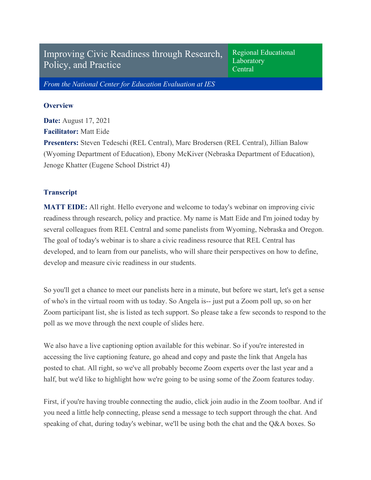Improving Civic Readiness through Research, Policy, and Practice

Regional Educational Laboratory **Central** 

*From the National Center for Education Evaluation at IES*

## **Overview**

**Date:** August 17, 2021 **Facilitator:** Matt Eide **Presenters:** Steven Tedeschi (REL Central), Marc Brodersen (REL Central), Jillian Balow (Wyoming Department of Education), Ebony McKiver (Nebraska Department of Education), Jenoge Khatter (Eugene School District 4J)

## **Transcript**

**MATT EIDE:** All right. Hello everyone and welcome to today's webinar on improving civic readiness through research, policy and practice. My name is Matt Eide and I'm joined today by several colleagues from REL Central and some panelists from Wyoming, Nebraska and Oregon. The goal of today's webinar is to share a civic readiness resource that REL Central has developed, and to learn from our panelists, who will share their perspectives on how to define, develop and measure civic readiness in our students.

So you'll get a chance to meet our panelists here in a minute, but before we start, let's get a sense of who's in the virtual room with us today. So Angela is-- just put a Zoom poll up, so on her Zoom participant list, she is listed as tech support. So please take a few seconds to respond to the poll as we move through the next couple of slides here.

We also have a live captioning option available for this webinar. So if you're interested in accessing the live captioning feature, go ahead and copy and paste the link that Angela has posted to chat. All right, so we've all probably become Zoom experts over the last year and a half, but we'd like to highlight how we're going to be using some of the Zoom features today.

First, if you're having trouble connecting the audio, click join audio in the Zoom toolbar. And if you need a little help connecting, please send a message to tech support through the chat. And speaking of chat, during today's webinar, we'll be using both the chat and the Q&A boxes. So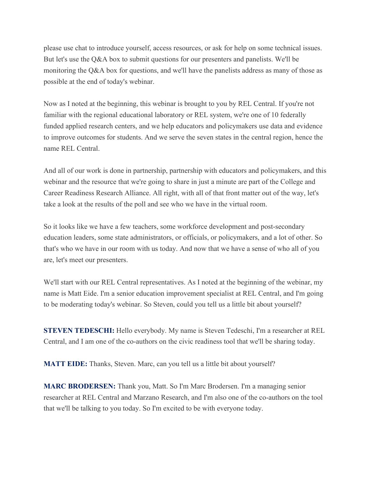please use chat to introduce yourself, access resources, or ask for help on some technical issues. But let's use the Q&A box to submit questions for our presenters and panelists. We'll be monitoring the Q&A box for questions, and we'll have the panelists address as many of those as possible at the end of today's webinar.

Now as I noted at the beginning, this webinar is brought to you by REL Central. If you're not familiar with the regional educational laboratory or REL system, we're one of 10 federally funded applied research centers, and we help educators and policymakers use data and evidence to improve outcomes for students. And we serve the seven states in the central region, hence the name REL Central.

And all of our work is done in partnership, partnership with educators and policymakers, and this webinar and the resource that we're going to share in just a minute are part of the College and Career Readiness Research Alliance. All right, with all of that front matter out of the way, let's take a look at the results of the poll and see who we have in the virtual room.

So it looks like we have a few teachers, some workforce development and post-secondary education leaders, some state administrators, or officials, or policymakers, and a lot of other. So that's who we have in our room with us today. And now that we have a sense of who all of you are, let's meet our presenters.

We'll start with our REL Central representatives. As I noted at the beginning of the webinar, my name is Matt Eide. I'm a senior education improvement specialist at REL Central, and I'm going to be moderating today's webinar. So Steven, could you tell us a little bit about yourself?

**STEVEN TEDESCHI:** Hello everybody. My name is Steven Tedeschi, I'm a researcher at REL Central, and I am one of the co-authors on the civic readiness tool that we'll be sharing today.

**MATT EIDE:** Thanks, Steven. Marc, can you tell us a little bit about yourself?

**MARC BRODERSEN:** Thank you, Matt. So I'm Marc Brodersen. I'm a managing senior researcher at REL Central and Marzano Research, and I'm also one of the co-authors on the tool that we'll be talking to you today. So I'm excited to be with everyone today.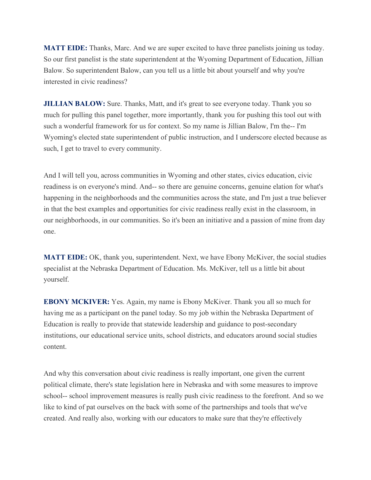**MATT EIDE:** Thanks, Marc. And we are super excited to have three panelists joining us today. So our first panelist is the state superintendent at the Wyoming Department of Education, Jillian Balow. So superintendent Balow, can you tell us a little bit about yourself and why you're interested in civic readiness?

**JILLIAN BALOW:** Sure. Thanks, Matt, and it's great to see everyone today. Thank you so much for pulling this panel together, more importantly, thank you for pushing this tool out with such a wonderful framework for us for context. So my name is Jillian Balow, I'm the-- I'm Wyoming's elected state superintendent of public instruction, and I underscore elected because as such, I get to travel to every community.

And I will tell you, across communities in Wyoming and other states, civics education, civic readiness is on everyone's mind. And-- so there are genuine concerns, genuine elation for what's happening in the neighborhoods and the communities across the state, and I'm just a true believer in that the best examples and opportunities for civic readiness really exist in the classroom, in our neighborhoods, in our communities. So it's been an initiative and a passion of mine from day one.

**MATT EIDE:** OK, thank you, superintendent. Next, we have Ebony McKiver, the social studies specialist at the Nebraska Department of Education. Ms. McKiver, tell us a little bit about yourself.

**EBONY MCKIVER:** Yes. Again, my name is Ebony McKiver. Thank you all so much for having me as a participant on the panel today. So my job within the Nebraska Department of Education is really to provide that statewide leadership and guidance to post-secondary institutions, our educational service units, school districts, and educators around social studies content.

And why this conversation about civic readiness is really important, one given the current political climate, there's state legislation here in Nebraska and with some measures to improve school-- school improvement measures is really push civic readiness to the forefront. And so we like to kind of pat ourselves on the back with some of the partnerships and tools that we've created. And really also, working with our educators to make sure that they're effectively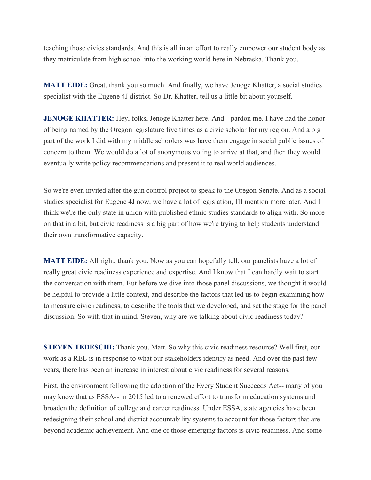teaching those civics standards. And this is all in an effort to really empower our student body as they matriculate from high school into the working world here in Nebraska. Thank you.

**MATT EIDE:** Great, thank you so much. And finally, we have Jenoge Khatter, a social studies specialist with the Eugene 4J district. So Dr. Khatter, tell us a little bit about yourself.

**JENOGE KHATTER:** Hey, folks, Jenoge Khatter here. And-- pardon me. I have had the honor of being named by the Oregon legislature five times as a civic scholar for my region. And a big part of the work I did with my middle schoolers was have them engage in social public issues of concern to them. We would do a lot of anonymous voting to arrive at that, and then they would eventually write policy recommendations and present it to real world audiences.

So we're even invited after the gun control project to speak to the Oregon Senate. And as a social studies specialist for Eugene 4J now, we have a lot of legislation, I'll mention more later. And I think we're the only state in union with published ethnic studies standards to align with. So more on that in a bit, but civic readiness is a big part of how we're trying to help students understand their own transformative capacity.

**MATT EIDE:** All right, thank you. Now as you can hopefully tell, our panelists have a lot of really great civic readiness experience and expertise. And I know that I can hardly wait to start the conversation with them. But before we dive into those panel discussions, we thought it would be helpful to provide a little context, and describe the factors that led us to begin examining how to measure civic readiness, to describe the tools that we developed, and set the stage for the panel discussion. So with that in mind, Steven, why are we talking about civic readiness today?

**STEVEN TEDESCHI:** Thank you, Matt. So why this civic readiness resource? Well first, our work as a REL is in response to what our stakeholders identify as need. And over the past few years, there has been an increase in interest about civic readiness for several reasons.

First, the environment following the adoption of the Every Student Succeeds Act-- many of you may know that as ESSA-- in 2015 led to a renewed effort to transform education systems and broaden the definition of college and career readiness. Under ESSA, state agencies have been redesigning their school and district accountability systems to account for those factors that are beyond academic achievement. And one of those emerging factors is civic readiness. And some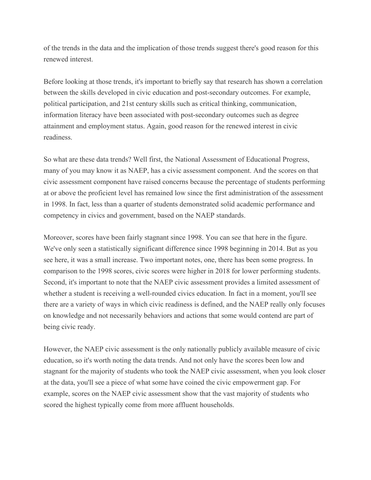of the trends in the data and the implication of those trends suggest there's good reason for this renewed interest.

Before looking at those trends, it's important to briefly say that research has shown a correlation between the skills developed in civic education and post-secondary outcomes. For example, political participation, and 21st century skills such as critical thinking, communication, information literacy have been associated with post-secondary outcomes such as degree attainment and employment status. Again, good reason for the renewed interest in civic readiness.

So what are these data trends? Well first, the National Assessment of Educational Progress, many of you may know it as NAEP, has a civic assessment component. And the scores on that civic assessment component have raised concerns because the percentage of students performing at or above the proficient level has remained low since the first administration of the assessment in 1998. In fact, less than a quarter of students demonstrated solid academic performance and competency in civics and government, based on the NAEP standards.

Moreover, scores have been fairly stagnant since 1998. You can see that here in the figure. We've only seen a statistically significant difference since 1998 beginning in 2014. But as you see here, it was a small increase. Two important notes, one, there has been some progress. In comparison to the 1998 scores, civic scores were higher in 2018 for lower performing students. Second, it's important to note that the NAEP civic assessment provides a limited assessment of whether a student is receiving a well-rounded civics education. In fact in a moment, you'll see there are a variety of ways in which civic readiness is defined, and the NAEP really only focuses on knowledge and not necessarily behaviors and actions that some would contend are part of being civic ready.

However, the NAEP civic assessment is the only nationally publicly available measure of civic education, so it's worth noting the data trends. And not only have the scores been low and stagnant for the majority of students who took the NAEP civic assessment, when you look closer at the data, you'll see a piece of what some have coined the civic empowerment gap. For example, scores on the NAEP civic assessment show that the vast majority of students who scored the highest typically come from more affluent households.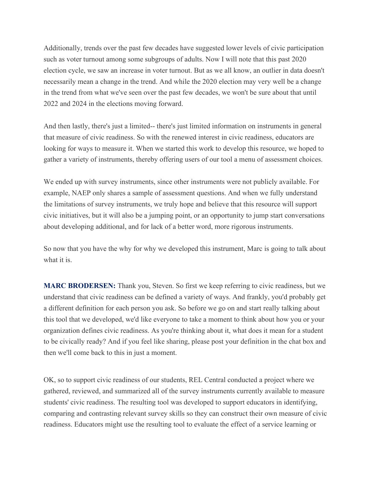Additionally, trends over the past few decades have suggested lower levels of civic participation such as voter turnout among some subgroups of adults. Now I will note that this past 2020 election cycle, we saw an increase in voter turnout. But as we all know, an outlier in data doesn't necessarily mean a change in the trend. And while the 2020 election may very well be a change in the trend from what we've seen over the past few decades, we won't be sure about that until 2022 and 2024 in the elections moving forward.

And then lastly, there's just a limited-- there's just limited information on instruments in general that measure of civic readiness. So with the renewed interest in civic readiness, educators are looking for ways to measure it. When we started this work to develop this resource, we hoped to gather a variety of instruments, thereby offering users of our tool a menu of assessment choices.

We ended up with survey instruments, since other instruments were not publicly available. For example, NAEP only shares a sample of assessment questions. And when we fully understand the limitations of survey instruments, we truly hope and believe that this resource will support civic initiatives, but it will also be a jumping point, or an opportunity to jump start conversations about developing additional, and for lack of a better word, more rigorous instruments.

So now that you have the why for why we developed this instrument, Marc is going to talk about what it is.

**MARC BRODERSEN:** Thank you, Steven. So first we keep referring to civic readiness, but we understand that civic readiness can be defined a variety of ways. And frankly, you'd probably get a different definition for each person you ask. So before we go on and start really talking about this tool that we developed, we'd like everyone to take a moment to think about how you or your organization defines civic readiness. As you're thinking about it, what does it mean for a student to be civically ready? And if you feel like sharing, please post your definition in the chat box and then we'll come back to this in just a moment.

OK, so to support civic readiness of our students, REL Central conducted a project where we gathered, reviewed, and summarized all of the survey instruments currently available to measure students' civic readiness. The resulting tool was developed to support educators in identifying, comparing and contrasting relevant survey skills so they can construct their own measure of civic readiness. Educators might use the resulting tool to evaluate the effect of a service learning or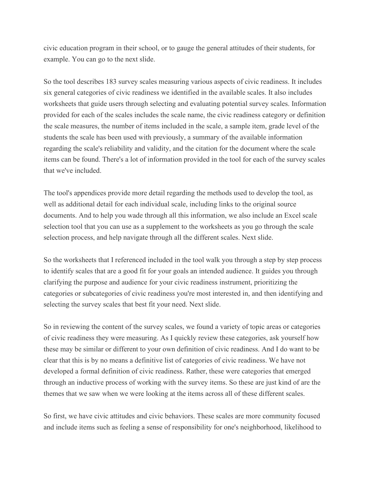civic education program in their school, or to gauge the general attitudes of their students, for example. You can go to the next slide.

So the tool describes 183 survey scales measuring various aspects of civic readiness. It includes six general categories of civic readiness we identified in the available scales. It also includes worksheets that guide users through selecting and evaluating potential survey scales. Information provided for each of the scales includes the scale name, the civic readiness category or definition the scale measures, the number of items included in the scale, a sample item, grade level of the students the scale has been used with previously, a summary of the available information regarding the scale's reliability and validity, and the citation for the document where the scale items can be found. There's a lot of information provided in the tool for each of the survey scales that we've included.

The tool's appendices provide more detail regarding the methods used to develop the tool, as well as additional detail for each individual scale, including links to the original source documents. And to help you wade through all this information, we also include an Excel scale selection tool that you can use as a supplement to the worksheets as you go through the scale selection process, and help navigate through all the different scales. Next slide.

So the worksheets that I referenced included in the tool walk you through a step by step process to identify scales that are a good fit for your goals an intended audience. It guides you through clarifying the purpose and audience for your civic readiness instrument, prioritizing the categories or subcategories of civic readiness you're most interested in, and then identifying and selecting the survey scales that best fit your need. Next slide.

So in reviewing the content of the survey scales, we found a variety of topic areas or categories of civic readiness they were measuring. As I quickly review these categories, ask yourself how these may be similar or different to your own definition of civic readiness. And I do want to be clear that this is by no means a definitive list of categories of civic readiness. We have not developed a formal definition of civic readiness. Rather, these were categories that emerged through an inductive process of working with the survey items. So these are just kind of are the themes that we saw when we were looking at the items across all of these different scales.

So first, we have civic attitudes and civic behaviors. These scales are more community focused and include items such as feeling a sense of responsibility for one's neighborhood, likelihood to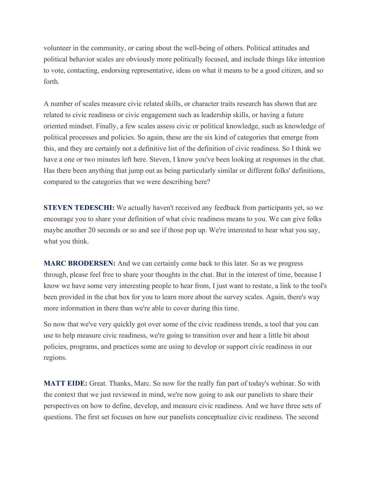volunteer in the community, or caring about the well-being of others. Political attitudes and political behavior scales are obviously more politically focused, and include things like intention to vote, contacting, endorsing representative, ideas on what it means to be a good citizen, and so forth.

A number of scales measure civic related skills, or character traits research has shown that are related to civic readiness or civic engagement such as leadership skills, or having a future oriented mindset. Finally, a few scales assess civic or political knowledge, such as knowledge of political processes and policies. So again, these are the six kind of categories that emerge from this, and they are certainly not a definitive list of the definition of civic readiness. So I think we have a one or two minutes left here. Steven, I know you've been looking at responses in the chat. Has there been anything that jump out as being particularly similar or different folks' definitions, compared to the categories that we were describing here?

**STEVEN TEDESCHI:** We actually haven't received any feedback from participants yet, so we encourage you to share your definition of what civic readiness means to you. We can give folks maybe another 20 seconds or so and see if those pop up. We're interested to hear what you say, what you think.

**MARC BRODERSEN:** And we can certainly come back to this later. So as we progress through, please feel free to share your thoughts in the chat. But in the interest of time, because I know we have some very interesting people to hear from, I just want to restate, a link to the tool's been provided in the chat box for you to learn more about the survey scales. Again, there's way more information in there than we're able to cover during this time.

So now that we've very quickly got over some of the civic readiness trends, a tool that you can use to help measure civic readiness, we're going to transition over and hear a little bit about policies, programs, and practices some are using to develop or support civic readiness in our regions.

**MATT EIDE:** Great. Thanks, Marc. So now for the really fun part of today's webinar. So with the context that we just reviewed in mind, we're now going to ask our panelists to share their perspectives on how to define, develop, and measure civic readiness. And we have three sets of questions. The first set focuses on how our panelists conceptualize civic readiness. The second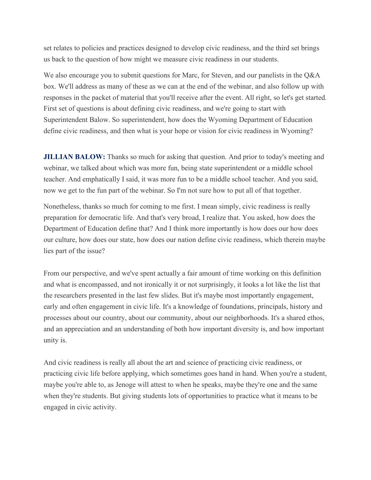set relates to policies and practices designed to develop civic readiness, and the third set brings us back to the question of how might we measure civic readiness in our students.

We also encourage you to submit questions for Marc, for Steven, and our panelists in the Q&A box. We'll address as many of these as we can at the end of the webinar, and also follow up with responses in the packet of material that you'll receive after the event. All right, so let's get started. First set of questions is about defining civic readiness, and we're going to start with Superintendent Balow. So superintendent, how does the Wyoming Department of Education define civic readiness, and then what is your hope or vision for civic readiness in Wyoming?

**JILLIAN BALOW:** Thanks so much for asking that question. And prior to today's meeting and webinar, we talked about which was more fun, being state superintendent or a middle school teacher. And emphatically I said, it was more fun to be a middle school teacher. And you said, now we get to the fun part of the webinar. So I'm not sure how to put all of that together.

Nonetheless, thanks so much for coming to me first. I mean simply, civic readiness is really preparation for democratic life. And that's very broad, I realize that. You asked, how does the Department of Education define that? And I think more importantly is how does our how does our culture, how does our state, how does our nation define civic readiness, which therein maybe lies part of the issue?

From our perspective, and we've spent actually a fair amount of time working on this definition and what is encompassed, and not ironically it or not surprisingly, it looks a lot like the list that the researchers presented in the last few slides. But it's maybe most importantly engagement, early and often engagement in civic life. It's a knowledge of foundations, principals, history and processes about our country, about our community, about our neighborhoods. It's a shared ethos, and an appreciation and an understanding of both how important diversity is, and how important unity is.

And civic readiness is really all about the art and science of practicing civic readiness, or practicing civic life before applying, which sometimes goes hand in hand. When you're a student, maybe you're able to, as Jenoge will attest to when he speaks, maybe they're one and the same when they're students. But giving students lots of opportunities to practice what it means to be engaged in civic activity.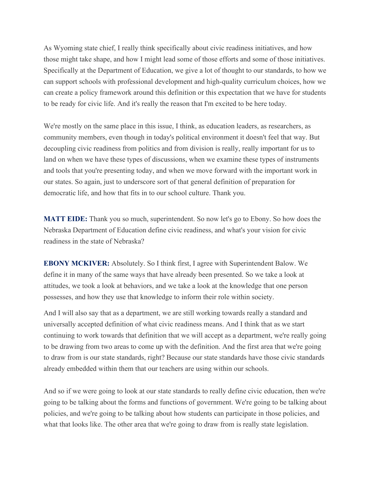As Wyoming state chief, I really think specifically about civic readiness initiatives, and how those might take shape, and how I might lead some of those efforts and some of those initiatives. Specifically at the Department of Education, we give a lot of thought to our standards, to how we can support schools with professional development and high-quality curriculum choices, how we can create a policy framework around this definition or this expectation that we have for students to be ready for civic life. And it's really the reason that I'm excited to be here today.

We're mostly on the same place in this issue, I think, as education leaders, as researchers, as community members, even though in today's political environment it doesn't feel that way. But decoupling civic readiness from politics and from division is really, really important for us to land on when we have these types of discussions, when we examine these types of instruments and tools that you're presenting today, and when we move forward with the important work in our states. So again, just to underscore sort of that general definition of preparation for democratic life, and how that fits in to our school culture. Thank you.

**MATT EIDE:** Thank you so much, superintendent. So now let's go to Ebony. So how does the Nebraska Department of Education define civic readiness, and what's your vision for civic readiness in the state of Nebraska?

**EBONY MCKIVER:** Absolutely. So I think first, I agree with Superintendent Balow. We define it in many of the same ways that have already been presented. So we take a look at attitudes, we took a look at behaviors, and we take a look at the knowledge that one person possesses, and how they use that knowledge to inform their role within society.

And I will also say that as a department, we are still working towards really a standard and universally accepted definition of what civic readiness means. And I think that as we start continuing to work towards that definition that we will accept as a department, we're really going to be drawing from two areas to come up with the definition. And the first area that we're going to draw from is our state standards, right? Because our state standards have those civic standards already embedded within them that our teachers are using within our schools.

And so if we were going to look at our state standards to really define civic education, then we're going to be talking about the forms and functions of government. We're going to be talking about policies, and we're going to be talking about how students can participate in those policies, and what that looks like. The other area that we're going to draw from is really state legislation.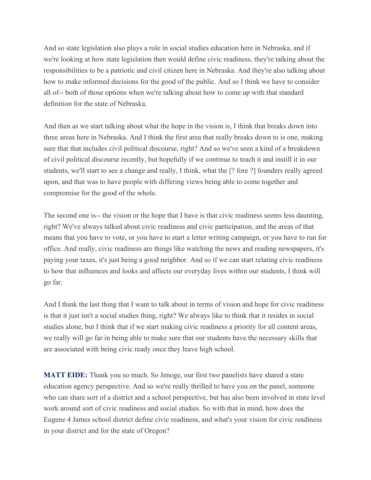And so state legislation also plays a role in social studies education here in Nebraska, and if we're looking at how state legislation then would define civic readiness, they're talking about the responsibilities to be a patriotic and civil citizen here in Nebraska. And they're also talking about how to make informed decisions for the good of the public. And so I think we have to consider all of-- both of those options when we're talking about how to come up with that standard definition for the state of Nebraska.

And then as we start talking about what the hope in the vision is, I think that breaks down into three areas here in Nebraska. And I think the first area that really breaks down to is one, making sure that that includes civil political discourse, right? And so we've seen a kind of a breakdown of civil political discourse recently, but hopefully if we continue to teach it and instill it in our students, we'll start to see a change and really, I think, what the [? fore ?] founders really agreed upon, and that was to have people with differing views being able to come together and compromise for the good of the whole.

The second one is-- the vision or the hope that I have is that civic readiness seems less daunting, right? We've always talked about civic readiness and civic participation, and the areas of that means that you have to vote, or you have to start a letter writing campaign, or you have to run for office. And really, civic readiness are things like watching the news and reading newspapers, it's paying your taxes, it's just being a good neighbor. And so if we can start relating civic readiness to how that influences and looks and affects our everyday lives within our students, I think will go far.

And I think the last thing that I want to talk about in terms of vision and hope for civic readiness is that it just isn't a social studies thing, right? We always like to think that it resides in social studies alone, but I think that if we start making civic readiness a priority for all content areas, we really will go far in being able to make sure that our students have the necessary skills that are associated with being civic ready once they leave high school.

**MATT EIDE:** Thank you so much. So Jenoge, our first two panelists have shared a state education agency perspective. And so we're really thrilled to have you on the panel, someone who can share sort of a district and a school perspective, but has also been involved in state level work around sort of civic readiness and social studies. So with that in mind, how does the Eugene 4 James school district define civic readiness, and what's your vision for civic readiness in your district and for the state of Oregon?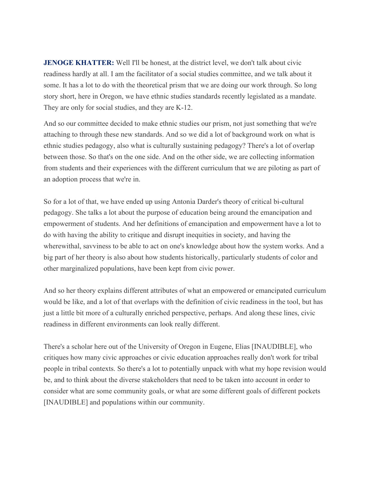**JENOGE KHATTER:** Well I'll be honest, at the district level, we don't talk about civic readiness hardly at all. I am the facilitator of a social studies committee, and we talk about it some. It has a lot to do with the theoretical prism that we are doing our work through. So long story short, here in Oregon, we have ethnic studies standards recently legislated as a mandate. They are only for social studies, and they are K-12.

And so our committee decided to make ethnic studies our prism, not just something that we're attaching to through these new standards. And so we did a lot of background work on what is ethnic studies pedagogy, also what is culturally sustaining pedagogy? There's a lot of overlap between those. So that's on the one side. And on the other side, we are collecting information from students and their experiences with the different curriculum that we are piloting as part of an adoption process that we're in.

So for a lot of that, we have ended up using Antonia Darder's theory of critical bi-cultural pedagogy. She talks a lot about the purpose of education being around the emancipation and empowerment of students. And her definitions of emancipation and empowerment have a lot to do with having the ability to critique and disrupt inequities in society, and having the wherewithal, savviness to be able to act on one's knowledge about how the system works. And a big part of her theory is also about how students historically, particularly students of color and other marginalized populations, have been kept from civic power.

And so her theory explains different attributes of what an empowered or emancipated curriculum would be like, and a lot of that overlaps with the definition of civic readiness in the tool, but has just a little bit more of a culturally enriched perspective, perhaps. And along these lines, civic readiness in different environments can look really different.

There's a scholar here out of the University of Oregon in Eugene, Elias [INAUDIBLE], who critiques how many civic approaches or civic education approaches really don't work for tribal people in tribal contexts. So there's a lot to potentially unpack with what my hope revision would be, and to think about the diverse stakeholders that need to be taken into account in order to consider what are some community goals, or what are some different goals of different pockets [INAUDIBLE] and populations within our community.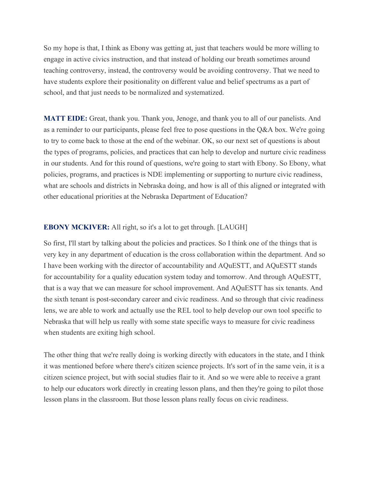So my hope is that, I think as Ebony was getting at, just that teachers would be more willing to engage in active civics instruction, and that instead of holding our breath sometimes around teaching controversy, instead, the controversy would be avoiding controversy. That we need to have students explore their positionality on different value and belief spectrums as a part of school, and that just needs to be normalized and systematized.

**MATT EIDE:** Great, thank you. Thank you, Jenoge, and thank you to all of our panelists. And as a reminder to our participants, please feel free to pose questions in the Q&A box. We're going to try to come back to those at the end of the webinar. OK, so our next set of questions is about the types of programs, policies, and practices that can help to develop and nurture civic readiness in our students. And for this round of questions, we're going to start with Ebony. So Ebony, what policies, programs, and practices is NDE implementing or supporting to nurture civic readiness, what are schools and districts in Nebraska doing, and how is all of this aligned or integrated with other educational priorities at the Nebraska Department of Education?

## **EBONY MCKIVER:** All right, so it's a lot to get through. [LAUGH]

So first, I'll start by talking about the policies and practices. So I think one of the things that is very key in any department of education is the cross collaboration within the department. And so I have been working with the director of accountability and AQuESTT, and AQuESTT stands for accountability for a quality education system today and tomorrow. And through AQuESTT, that is a way that we can measure for school improvement. And AQuESTT has six tenants. And the sixth tenant is post-secondary career and civic readiness. And so through that civic readiness lens, we are able to work and actually use the REL tool to help develop our own tool specific to Nebraska that will help us really with some state specific ways to measure for civic readiness when students are exiting high school.

The other thing that we're really doing is working directly with educators in the state, and I think it was mentioned before where there's citizen science projects. It's sort of in the same vein, it is a citizen science project, but with social studies flair to it. And so we were able to receive a grant to help our educators work directly in creating lesson plans, and then they're going to pilot those lesson plans in the classroom. But those lesson plans really focus on civic readiness.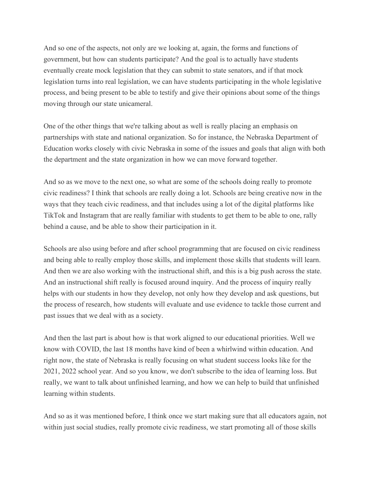And so one of the aspects, not only are we looking at, again, the forms and functions of government, but how can students participate? And the goal is to actually have students eventually create mock legislation that they can submit to state senators, and if that mock legislation turns into real legislation, we can have students participating in the whole legislative process, and being present to be able to testify and give their opinions about some of the things moving through our state unicameral.

One of the other things that we're talking about as well is really placing an emphasis on partnerships with state and national organization. So for instance, the Nebraska Department of Education works closely with civic Nebraska in some of the issues and goals that align with both the department and the state organization in how we can move forward together.

And so as we move to the next one, so what are some of the schools doing really to promote civic readiness? I think that schools are really doing a lot. Schools are being creative now in the ways that they teach civic readiness, and that includes using a lot of the digital platforms like TikTok and Instagram that are really familiar with students to get them to be able to one, rally behind a cause, and be able to show their participation in it.

Schools are also using before and after school programming that are focused on civic readiness and being able to really employ those skills, and implement those skills that students will learn. And then we are also working with the instructional shift, and this is a big push across the state. And an instructional shift really is focused around inquiry. And the process of inquiry really helps with our students in how they develop, not only how they develop and ask questions, but the process of research, how students will evaluate and use evidence to tackle those current and past issues that we deal with as a society.

And then the last part is about how is that work aligned to our educational priorities. Well we know with COVID, the last 18 months have kind of been a whirlwind within education. And right now, the state of Nebraska is really focusing on what student success looks like for the 2021, 2022 school year. And so you know, we don't subscribe to the idea of learning loss. But really, we want to talk about unfinished learning, and how we can help to build that unfinished learning within students.

And so as it was mentioned before, I think once we start making sure that all educators again, not within just social studies, really promote civic readiness, we start promoting all of those skills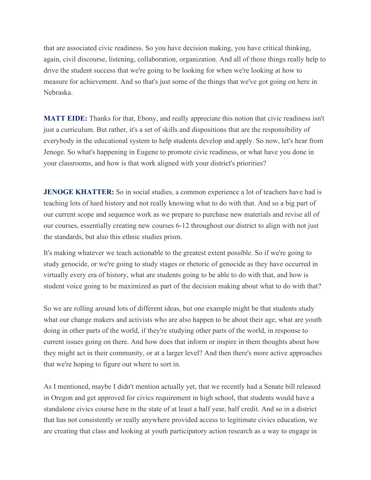that are associated civic readiness. So you have decision making, you have critical thinking, again, civil discourse, listening, collaboration, organization. And all of those things really help to drive the student success that we're going to be looking for when we're looking at how to measure for achievement. And so that's just some of the things that we've got going on here in Nebraska.

**MATT EIDE:** Thanks for that, Ebony, and really appreciate this notion that civic readiness isn't just a curriculum. But rather, it's a set of skills and dispositions that are the responsibility of everybody in the educational system to help students develop and apply. So now, let's hear from Jenoge. So what's happening in Eugene to promote civic readiness, or what have you done in your classrooms, and how is that work aligned with your district's priorities?

**JENOGE KHATTER:** So in social studies, a common experience a lot of teachers have had is teaching lots of hard history and not really knowing what to do with that. And so a big part of our current scope and sequence work as we prepare to purchase new materials and revise all of our courses, essentially creating new courses 6-12 throughout our district to align with not just the standards, but also this ethnic studies prism.

It's making whatever we teach actionable to the greatest extent possible. So if we're going to study genocide, or we're going to study stages or rhetoric of genocide as they have occurred in virtually every era of history, what are students going to be able to do with that, and how is student voice going to be maximized as part of the decision making about what to do with that?

So we are rolling around lots of different ideas, but one example might be that students study what our change makers and activists who are also happen to be about their age, what are youth doing in other parts of the world, if they're studying other parts of the world, in response to current issues going on there. And how does that inform or inspire in them thoughts about how they might act in their community, or at a larger level? And then there's more active approaches that we're hoping to figure out where to sort in.

As I mentioned, maybe I didn't mention actually yet, that we recently had a Senate bill released in Oregon and get approved for civics requirement in high school, that students would have a standalone civics course here in the state of at least a half year, half credit. And so in a district that has not consistently or really anywhere provided access to legitimate civics education, we are creating that class and looking at youth participatory action research as a way to engage in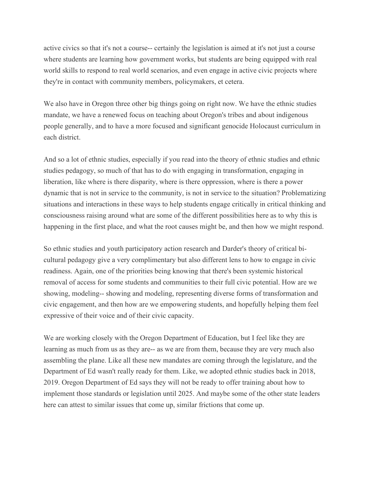active civics so that it's not a course-- certainly the legislation is aimed at it's not just a course where students are learning how government works, but students are being equipped with real world skills to respond to real world scenarios, and even engage in active civic projects where they're in contact with community members, policymakers, et cetera.

We also have in Oregon three other big things going on right now. We have the ethnic studies mandate, we have a renewed focus on teaching about Oregon's tribes and about indigenous people generally, and to have a more focused and significant genocide Holocaust curriculum in each district.

And so a lot of ethnic studies, especially if you read into the theory of ethnic studies and ethnic studies pedagogy, so much of that has to do with engaging in transformation, engaging in liberation, like where is there disparity, where is there oppression, where is there a power dynamic that is not in service to the community, is not in service to the situation? Problematizing situations and interactions in these ways to help students engage critically in critical thinking and consciousness raising around what are some of the different possibilities here as to why this is happening in the first place, and what the root causes might be, and then how we might respond.

So ethnic studies and youth participatory action research and Darder's theory of critical bicultural pedagogy give a very complimentary but also different lens to how to engage in civic readiness. Again, one of the priorities being knowing that there's been systemic historical removal of access for some students and communities to their full civic potential. How are we showing, modeling-- showing and modeling, representing diverse forms of transformation and civic engagement, and then how are we empowering students, and hopefully helping them feel expressive of their voice and of their civic capacity.

We are working closely with the Oregon Department of Education, but I feel like they are learning as much from us as they are-- as we are from them, because they are very much also assembling the plane. Like all these new mandates are coming through the legislature, and the Department of Ed wasn't really ready for them. Like, we adopted ethnic studies back in 2018, 2019. Oregon Department of Ed says they will not be ready to offer training about how to implement those standards or legislation until 2025. And maybe some of the other state leaders here can attest to similar issues that come up, similar frictions that come up.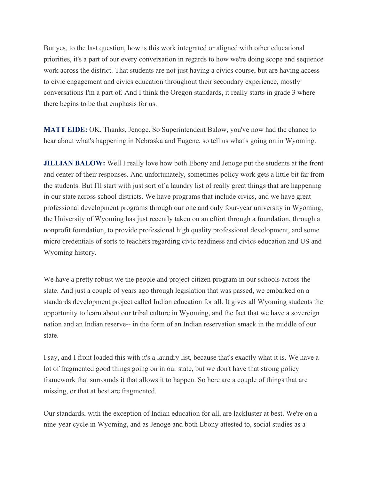But yes, to the last question, how is this work integrated or aligned with other educational priorities, it's a part of our every conversation in regards to how we're doing scope and sequence work across the district. That students are not just having a civics course, but are having access to civic engagement and civics education throughout their secondary experience, mostly conversations I'm a part of. And I think the Oregon standards, it really starts in grade 3 where there begins to be that emphasis for us.

**MATT EIDE:** OK. Thanks, Jenoge. So Superintendent Balow, you've now had the chance to hear about what's happening in Nebraska and Eugene, so tell us what's going on in Wyoming.

**JILLIAN BALOW:** Well I really love how both Ebony and Jenoge put the students at the front and center of their responses. And unfortunately, sometimes policy work gets a little bit far from the students. But I'll start with just sort of a laundry list of really great things that are happening in our state across school districts. We have programs that include civics, and we have great professional development programs through our one and only four-year university in Wyoming, the University of Wyoming has just recently taken on an effort through a foundation, through a nonprofit foundation, to provide professional high quality professional development, and some micro credentials of sorts to teachers regarding civic readiness and civics education and US and Wyoming history.

We have a pretty robust we the people and project citizen program in our schools across the state. And just a couple of years ago through legislation that was passed, we embarked on a standards development project called Indian education for all. It gives all Wyoming students the opportunity to learn about our tribal culture in Wyoming, and the fact that we have a sovereign nation and an Indian reserve-- in the form of an Indian reservation smack in the middle of our state.

I say, and I front loaded this with it's a laundry list, because that's exactly what it is. We have a lot of fragmented good things going on in our state, but we don't have that strong policy framework that surrounds it that allows it to happen. So here are a couple of things that are missing, or that at best are fragmented.

Our standards, with the exception of Indian education for all, are lackluster at best. We're on a nine-year cycle in Wyoming, and as Jenoge and both Ebony attested to, social studies as a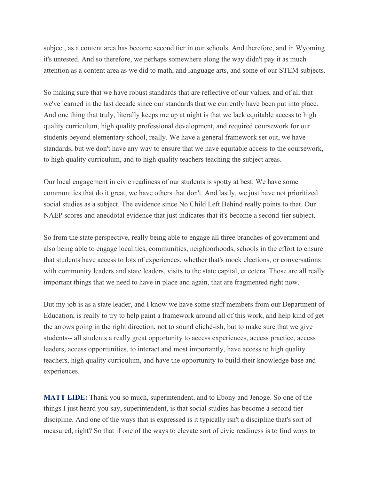subject, as a content area has become second tier in our schools. And therefore, and in Wyoming it's untested. And so therefore, we perhaps somewhere along the way didn't pay it as much attention as a content area as we did to math, and language arts, and some of our STEM subjects.

So making sure that we have robust standards that are reflective of our values, and of all that we've learned in the last decade since our standards that we currently have been put into place. And one thing that truly, literally keeps me up at night is that we lack equitable access to high quality curriculum, high quality professional development, and required coursework for our students beyond elementary school, really. We have a general framework set out, we have standards, but we don't have any way to ensure that we have equitable access to the coursework, to high quality curriculum, and to high quality teachers teaching the subject areas.

Our local engagement in civic readiness of our students is spotty at best. We have some communities that do it great, we have others that don't. And lastly, we just have not prioritized social studies as a subject. The evidence since No Child Left Behind really points to that. Our NAEP scores and anecdotal evidence that just indicates that it's become a second-tier subject.

So from the state perspective, really being able to engage all three branches of government and also being able to engage localities, communities, neighborhoods, schools in the effort to ensure that students have access to lots of experiences, whether that's mock elections, or conversations with community leaders and state leaders, visits to the state capital, et cetera. Those are all really important things that we need to have in place and again, that are fragmented right now.

But my job is as a state leader, and I know we have some staff members from our Department of Education, is really to try to help paint a framework around all of this work, and help kind of get the arrows going in the right direction, not to sound cliché-ish, but to make sure that we give students-- all students a really great opportunity to access experiences, access practice, access leaders, access opportunities, to interact and most importantly, have access to high quality teachers, high quality curriculum, and have the opportunity to build their knowledge base and experiences.

**MATT EIDE:** Thank you so much, superintendent, and to Ebony and Jenoge. So one of the things I just heard you say, superintendent, is that social studies has become a second tier discipline. And one of the ways that is expressed is it typically isn't a discipline that's sort of measured, right? So that if one of the ways to elevate sort of civic readiness is to find ways to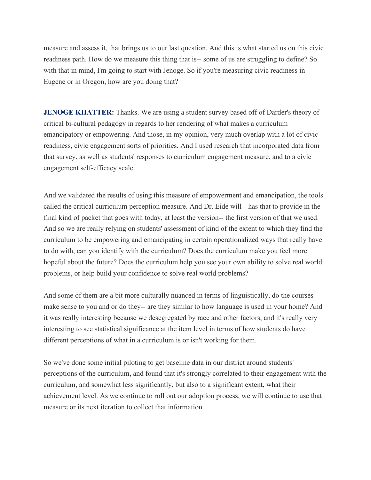measure and assess it, that brings us to our last question. And this is what started us on this civic readiness path. How do we measure this thing that is-- some of us are struggling to define? So with that in mind, I'm going to start with Jenoge. So if you're measuring civic readiness in Eugene or in Oregon, how are you doing that?

**JENOGE KHATTER:** Thanks. We are using a student survey based off of Darder's theory of critical bi-cultural pedagogy in regards to her rendering of what makes a curriculum emancipatory or empowering. And those, in my opinion, very much overlap with a lot of civic readiness, civic engagement sorts of priorities. And I used research that incorporated data from that survey, as well as students' responses to curriculum engagement measure, and to a civic engagement self-efficacy scale.

And we validated the results of using this measure of empowerment and emancipation, the tools called the critical curriculum perception measure. And Dr. Eide will-- has that to provide in the final kind of packet that goes with today, at least the version-- the first version of that we used. And so we are really relying on students' assessment of kind of the extent to which they find the curriculum to be empowering and emancipating in certain operationalized ways that really have to do with, can you identify with the curriculum? Does the curriculum make you feel more hopeful about the future? Does the curriculum help you see your own ability to solve real world problems, or help build your confidence to solve real world problems?

And some of them are a bit more culturally nuanced in terms of linguistically, do the courses make sense to you and or do they-- are they similar to how language is used in your home? And it was really interesting because we desegregated by race and other factors, and it's really very interesting to see statistical significance at the item level in terms of how students do have different perceptions of what in a curriculum is or isn't working for them.

So we've done some initial piloting to get baseline data in our district around students' perceptions of the curriculum, and found that it's strongly correlated to their engagement with the curriculum, and somewhat less significantly, but also to a significant extent, what their achievement level. As we continue to roll out our adoption process, we will continue to use that measure or its next iteration to collect that information.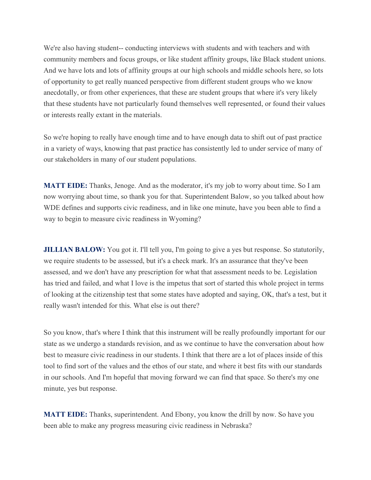We're also having student-- conducting interviews with students and with teachers and with community members and focus groups, or like student affinity groups, like Black student unions. And we have lots and lots of affinity groups at our high schools and middle schools here, so lots of opportunity to get really nuanced perspective from different student groups who we know anecdotally, or from other experiences, that these are student groups that where it's very likely that these students have not particularly found themselves well represented, or found their values or interests really extant in the materials.

So we're hoping to really have enough time and to have enough data to shift out of past practice in a variety of ways, knowing that past practice has consistently led to under service of many of our stakeholders in many of our student populations.

**MATT EIDE:** Thanks, Jenoge. And as the moderator, it's my job to worry about time. So I am now worrying about time, so thank you for that. Superintendent Balow, so you talked about how WDE defines and supports civic readiness, and in like one minute, have you been able to find a way to begin to measure civic readiness in Wyoming?

**JILLIAN BALOW:** You got it. I'll tell you, I'm going to give a yes but response. So statutorily, we require students to be assessed, but it's a check mark. It's an assurance that they've been assessed, and we don't have any prescription for what that assessment needs to be. Legislation has tried and failed, and what I love is the impetus that sort of started this whole project in terms of looking at the citizenship test that some states have adopted and saying, OK, that's a test, but it really wasn't intended for this. What else is out there?

So you know, that's where I think that this instrument will be really profoundly important for our state as we undergo a standards revision, and as we continue to have the conversation about how best to measure civic readiness in our students. I think that there are a lot of places inside of this tool to find sort of the values and the ethos of our state, and where it best fits with our standards in our schools. And I'm hopeful that moving forward we can find that space. So there's my one minute, yes but response.

**MATT EIDE:** Thanks, superintendent. And Ebony, you know the drill by now. So have you been able to make any progress measuring civic readiness in Nebraska?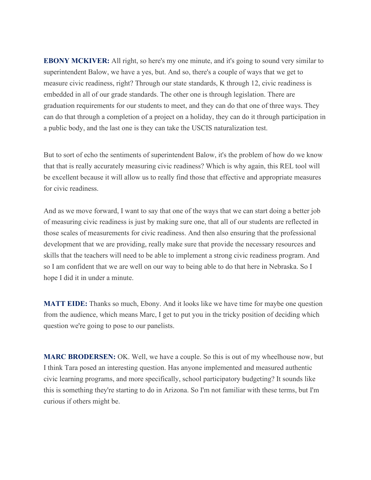**EBONY MCKIVER:** All right, so here's my one minute, and it's going to sound very similar to superintendent Balow, we have a yes, but. And so, there's a couple of ways that we get to measure civic readiness, right? Through our state standards, K through 12, civic readiness is embedded in all of our grade standards. The other one is through legislation. There are graduation requirements for our students to meet, and they can do that one of three ways. They can do that through a completion of a project on a holiday, they can do it through participation in a public body, and the last one is they can take the USCIS naturalization test.

But to sort of echo the sentiments of superintendent Balow, it's the problem of how do we know that that is really accurately measuring civic readiness? Which is why again, this REL tool will be excellent because it will allow us to really find those that effective and appropriate measures for civic readiness.

And as we move forward, I want to say that one of the ways that we can start doing a better job of measuring civic readiness is just by making sure one, that all of our students are reflected in those scales of measurements for civic readiness. And then also ensuring that the professional development that we are providing, really make sure that provide the necessary resources and skills that the teachers will need to be able to implement a strong civic readiness program. And so I am confident that we are well on our way to being able to do that here in Nebraska. So I hope I did it in under a minute.

**MATT EIDE:** Thanks so much, Ebony. And it looks like we have time for maybe one question from the audience, which means Marc, I get to put you in the tricky position of deciding which question we're going to pose to our panelists.

**MARC BRODERSEN:** OK. Well, we have a couple. So this is out of my wheelhouse now, but I think Tara posed an interesting question. Has anyone implemented and measured authentic civic learning programs, and more specifically, school participatory budgeting? It sounds like this is something they're starting to do in Arizona. So I'm not familiar with these terms, but I'm curious if others might be.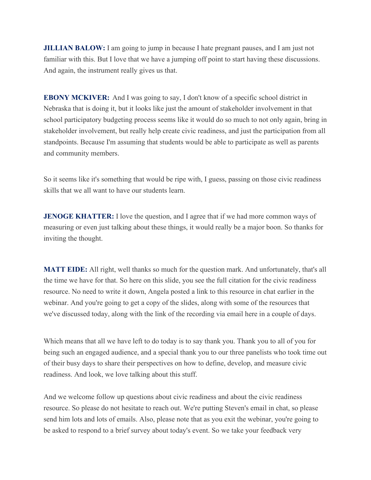**JILLIAN BALOW:** I am going to jump in because I hate pregnant pauses, and I am just not familiar with this. But I love that we have a jumping off point to start having these discussions. And again, the instrument really gives us that.

**EBONY MCKIVER:** And I was going to say, I don't know of a specific school district in Nebraska that is doing it, but it looks like just the amount of stakeholder involvement in that school participatory budgeting process seems like it would do so much to not only again, bring in stakeholder involvement, but really help create civic readiness, and just the participation from all standpoints. Because I'm assuming that students would be able to participate as well as parents and community members.

So it seems like it's something that would be ripe with, I guess, passing on those civic readiness skills that we all want to have our students learn.

**JENOGE KHATTER:** I love the question, and I agree that if we had more common ways of measuring or even just talking about these things, it would really be a major boon. So thanks for inviting the thought.

**MATT EIDE:** All right, well thanks so much for the question mark. And unfortunately, that's all the time we have for that. So here on this slide, you see the full citation for the civic readiness resource. No need to write it down, Angela posted a link to this resource in chat earlier in the webinar. And you're going to get a copy of the slides, along with some of the resources that we've discussed today, along with the link of the recording via email here in a couple of days.

Which means that all we have left to do today is to say thank you. Thank you to all of you for being such an engaged audience, and a special thank you to our three panelists who took time out of their busy days to share their perspectives on how to define, develop, and measure civic readiness. And look, we love talking about this stuff.

And we welcome follow up questions about civic readiness and about the civic readiness resource. So please do not hesitate to reach out. We're putting Steven's email in chat, so please send him lots and lots of emails. Also, please note that as you exit the webinar, you're going to be asked to respond to a brief survey about today's event. So we take your feedback very